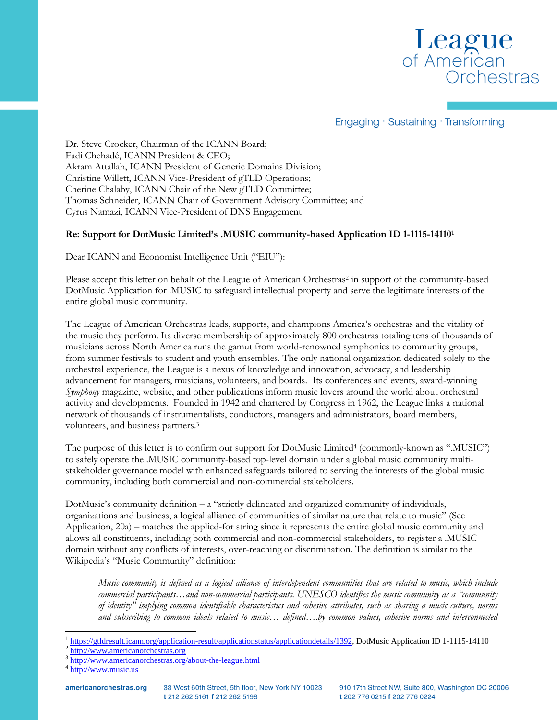

Engaging · Sustaining · Transforming

Dr. Steve Crocker, Chairman of the ICANN Board; Fadi Chehadé, ICANN President & CEO; Akram Attallah, ICANN President of Generic Domains Division; Christine Willett, ICANN Vice-President of gTLD Operations; Cherine Chalaby, ICANN Chair of the New gTLD Committee; Thomas Schneider, ICANN Chair of Government Advisory Committee; and Cyrus Namazi, ICANN Vice-President of DNS Engagement

## **Re: Support for DotMusic Limited's .MUSIC community-based Application ID 1-1115-14110<sup>1</sup>**

Dear ICANN and Economist Intelligence Unit ("EIU"):

Please accept this letter on behalf of the League of American Orchestras<sup>2</sup> in support of the community-based DotMusic Application for .MUSIC to safeguard intellectual property and serve the legitimate interests of the entire global music community.

The League of American Orchestras leads, supports, and champions America's orchestras and the vitality of the music they perform. Its diverse membership of approximately 800 orchestras totaling tens of thousands of musicians across North America runs the gamut from world-renowned symphonies to community groups, from summer festivals to student and youth ensembles. The only national organization dedicated solely to the orchestral experience, the League is a nexus of knowledge and innovation, advocacy, and leadership advancement for managers, musicians, volunteers, and boards. Its conferences and events, award-winning *Symphony* magazine, website, and other publications inform music lovers around the world about orchestral activity and developments. Founded in 1942 and chartered by Congress in 1962, the League links a national network of thousands of instrumentalists, conductors, managers and administrators, board members, volunteers, and business partners.<sup>3</sup>

The purpose of this letter is to confirm our support for DotMusic Limited<sup>4</sup> (commonly-known as ".MUSIC") to safely operate the .MUSIC community-based top-level domain under a global music community multistakeholder governance model with enhanced safeguards tailored to serving the interests of the global music community, including both commercial and non-commercial stakeholders.

DotMusic's community definition – a "strictly delineated and organized community of individuals, organizations and business, a logical alliance of communities of similar nature that relate to music" (See Application, 20a) – matches the applied-for string since it represents the entire global music community and allows all constituents, including both commercial and non-commercial stakeholders, to register a .MUSIC domain without any conflicts of interests, over-reaching or discrimination. The definition is similar to the Wikipedia's "Music Community" definition:

*Music community is defined as a logical alliance of interdependent communities that are related to music, which include commercial participants…and non-commercial participants. UNESCO identifies the music community as a "community of identity" implying common identifiable characteristics and cohesive attributes, such as sharing a music culture, norms and subscribing to common ideals related to music… defined….by common values, cohesive norms and interconnected* 

 $\overline{a}$ 

<sup>1</sup> [https://gtldresult.icann.org/application-result/applicationstatus/applicationdetails/1392,](https://gtldresult.icann.org/application-result/applicationstatus/applicationdetails/1392) DotMusic Application ID 1-1115-14110

<sup>2</sup> [http://www.americanorchestras.org](http://www.americanorchestras.org/)

<sup>&</sup>lt;sup>3</sup> <http://www.americanorchestras.org/about-the-league.html>

<sup>&</sup>lt;sup>4</sup> [http://www.music.us](http://www.music.us/)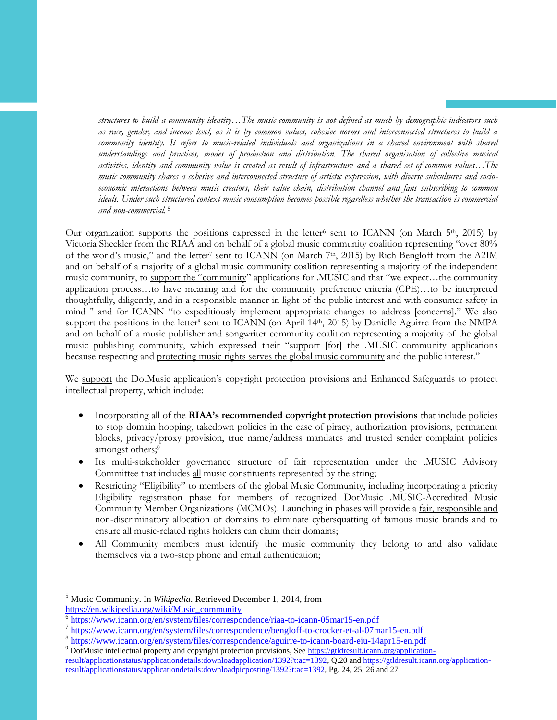*structures to build a community identity…The music community is not defined as much by demographic indicators such as race, gender, and income level, as it is by common values, cohesive norms and interconnected structures to build a*  community identity. It refers to music-related individuals and organizations in a shared environment with shared *understandings and practices, modes of production and distribution. The shared organisation of collective musical activities, identity and community value is created as result of infrastructure and a shared set of common values…The music community shares a cohesive and interconnected structure of artistic expression, with diverse subcultures and socioeconomic interactions between music creators, their value chain, distribution channel and fans subscribing to common ideals. Under such structured context music consumption becomes possible regardless whether the transaction is commercial and non-commercial.* <sup>5</sup>

Our organization supports the positions expressed in the letter<sup>6</sup> sent to ICANN (on March 5<sup>th</sup>, 2015) by Victoria Sheckler from the RIAA and on behalf of a global music community coalition representing "over 80% of the world's music," and the letter<sup>7</sup> sent to ICANN (on March 7<sup>th</sup>, 2015) by Rich Bengloff from the A2IM and on behalf of a majority of a global music community coalition representing a majority of the independent music community, to support the "community" applications for .MUSIC and that "we expect…the community application process…to have meaning and for the community preference criteria (CPE)…to be interpreted thoughtfully, diligently, and in a responsible manner in light of the public interest and with consumer safety in mind " and for ICANN "to expeditiously implement appropriate changes to address [concerns]." We also support the positions in the letter<sup>8</sup> sent to ICANN (on April 14th, 2015) by Danielle Aguirre from the NMPA and on behalf of a music publisher and songwriter community coalition representing a majority of the global music publishing community, which expressed their "support [for] the .MUSIC community applications because respecting and protecting music rights serves the global music community and the public interest."

We support the DotMusic application's copyright protection provisions and Enhanced Safeguards to protect intellectual property, which include:

- Incorporating all of the **RIAA's recommended copyright protection provisions** that include policies to stop domain hopping, takedown policies in the case of piracy, authorization provisions, permanent blocks, privacy/proxy provision, true name/address mandates and trusted sender complaint policies amongst others;<sup>9</sup>
- Its multi-stakeholder governance structure of fair representation under the .MUSIC Advisory Committee that includes all music constituents represented by the string;
- Restricting "Eligibility" to members of the global Music Community, including incorporating a priority Eligibility registration phase for members of recognized DotMusic .MUSIC-Accredited Music Community Member Organizations (MCMOs). Launching in phases will provide a fair, responsible and non-discriminatory allocation of domains to eliminate cybersquatting of famous music brands and to ensure all music-related rights holders can claim their domains;
- All Community members must identify the music community they belong to and also validate themselves via a two-step phone and email authentication;

 $\overline{a}$ 

<sup>5</sup> Music Community. In *Wikipedia*. Retrieved December 1, 2014, from [https://en.wikipedia.org/wiki/Music\\_community](https://en.wikipedia.org/wiki/Music_community)

<sup>6</sup> <https://www.icann.org/en/system/files/correspondence/riaa-to-icann-05mar15-en.pdf>

<sup>&</sup>lt;sup>7</sup> <https://www.icann.org/en/system/files/correspondence/bengloff-to-crocker-et-al-07mar15-en.pdf>

<sup>8</sup> <https://www.icann.org/en/system/files/correspondence/aguirre-to-icann-board-eiu-14apr15-en.pdf>

<sup>&</sup>lt;sup>9</sup> DotMusic intellectual property and copyright protection provisions, Se[e https://gtldresult.icann.org/application-](https://gtldresult.icann.org/application-result/applicationstatus/applicationdetails:downloadapplication/1392?t:ac=1392)

[result/applicationstatus/applicationdetails:downloadapplication/1392?t:ac=1392,](https://gtldresult.icann.org/application-result/applicationstatus/applicationdetails:downloadapplication/1392?t:ac=1392) Q.20 an[d https://gtldresult.icann.org/application](https://gtldresult.icann.org/application-result/applicationstatus/applicationdetails:downloadpicposting/1392?t:ac=1392)[result/applicationstatus/applicationdetails:downloadpicposting/1392?t:ac=1392,](https://gtldresult.icann.org/application-result/applicationstatus/applicationdetails:downloadpicposting/1392?t:ac=1392) Pg. 24, 25, 26 and 27